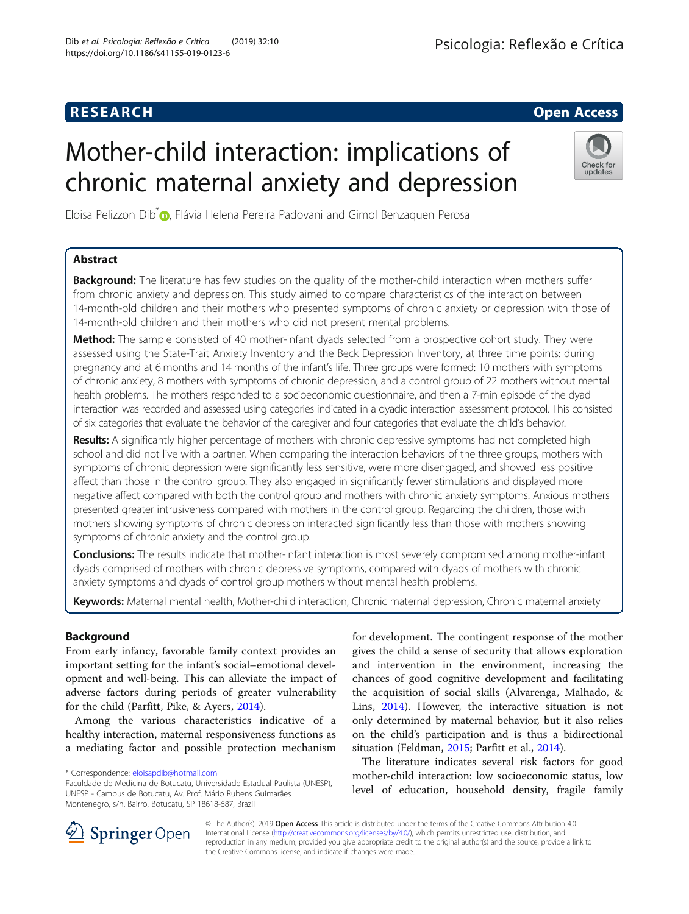# **RESEARCH CHILD CONTROL** CONTROL CONTROL CONTROL CONTROL CONTROL CONTROL CONTROL CONTROL CONTROL CONTROL CONTROL

# Mother-child interaction: implications of chronic maternal anxiety and depression



Eloisa Pelizzon Dib<sup>\*</sup> D[,](http://orcid.org/0000-0002-1141-8213) Flávia Helena Pereira Padovani and Gimol Benzaquen Perosa

# Abstract

**Background:** The literature has few studies on the quality of the mother-child interaction when mothers suffer from chronic anxiety and depression. This study aimed to compare characteristics of the interaction between 14-month-old children and their mothers who presented symptoms of chronic anxiety or depression with those of 14-month-old children and their mothers who did not present mental problems.

Method: The sample consisted of 40 mother-infant dyads selected from a prospective cohort study. They were assessed using the State-Trait Anxiety Inventory and the Beck Depression Inventory, at three time points: during pregnancy and at 6 months and 14 months of the infant's life. Three groups were formed: 10 mothers with symptoms of chronic anxiety, 8 mothers with symptoms of chronic depression, and a control group of 22 mothers without mental health problems. The mothers responded to a socioeconomic questionnaire, and then a 7-min episode of the dyad interaction was recorded and assessed using categories indicated in a dyadic interaction assessment protocol. This consisted of six categories that evaluate the behavior of the caregiver and four categories that evaluate the child's behavior.

Results: A significantly higher percentage of mothers with chronic depressive symptoms had not completed high school and did not live with a partner. When comparing the interaction behaviors of the three groups, mothers with symptoms of chronic depression were significantly less sensitive, were more disengaged, and showed less positive affect than those in the control group. They also engaged in significantly fewer stimulations and displayed more negative affect compared with both the control group and mothers with chronic anxiety symptoms. Anxious mothers presented greater intrusiveness compared with mothers in the control group. Regarding the children, those with mothers showing symptoms of chronic depression interacted significantly less than those with mothers showing symptoms of chronic anxiety and the control group.

Conclusions: The results indicate that mother-infant interaction is most severely compromised among mother-infant dyads comprised of mothers with chronic depressive symptoms, compared with dyads of mothers with chronic anxiety symptoms and dyads of control group mothers without mental health problems.

Keywords: Maternal mental health, Mother-child interaction, Chronic maternal depression, Chronic maternal anxiety

# Background

From early infancy, favorable family context provides an important setting for the infant's social–emotional development and well-being. This can alleviate the impact of adverse factors during periods of greater vulnerability for the child (Parfitt, Pike, & Ayers, [2014\)](#page-8-0).

Among the various characteristics indicative of a healthy interaction, maternal responsiveness functions as a mediating factor and possible protection mechanism

Faculdade de Medicina de Botucatu, Universidade Estadual Paulista (UNESP), UNESP - Campus de Botucatu, Av. Prof. Mário Rubens Guimarães Montenegro, s/n, Bairro, Botucatu, SP 18618-687, Brazil

for development. The contingent response of the mother gives the child a sense of security that allows exploration and intervention in the environment, increasing the chances of good cognitive development and facilitating the acquisition of social skills (Alvarenga, Malhado, & Lins, [2014\)](#page-7-0). However, the interactive situation is not only determined by maternal behavior, but it also relies on the child's participation and is thus a bidirectional situation (Feldman, [2015](#page-7-0); Parfitt et al., [2014](#page-8-0)).

The literature indicates several risk factors for good mother-child interaction: low socioeconomic status, low level of education, household density, fragile family



© The Author(s). 2019 Open Access This article is distributed under the terms of the Creative Commons Attribution 4.0 International License ([http://creativecommons.org/licenses/by/4.0/\)](http://creativecommons.org/licenses/by/4.0/), which permits unrestricted use, distribution, and reproduction in any medium, provided you give appropriate credit to the original author(s) and the source, provide a link to the Creative Commons license, and indicate if changes were made.

<sup>\*</sup> Correspondence: [eloisapdib@hotmail.com](mailto:eloisapdib@hotmail.com)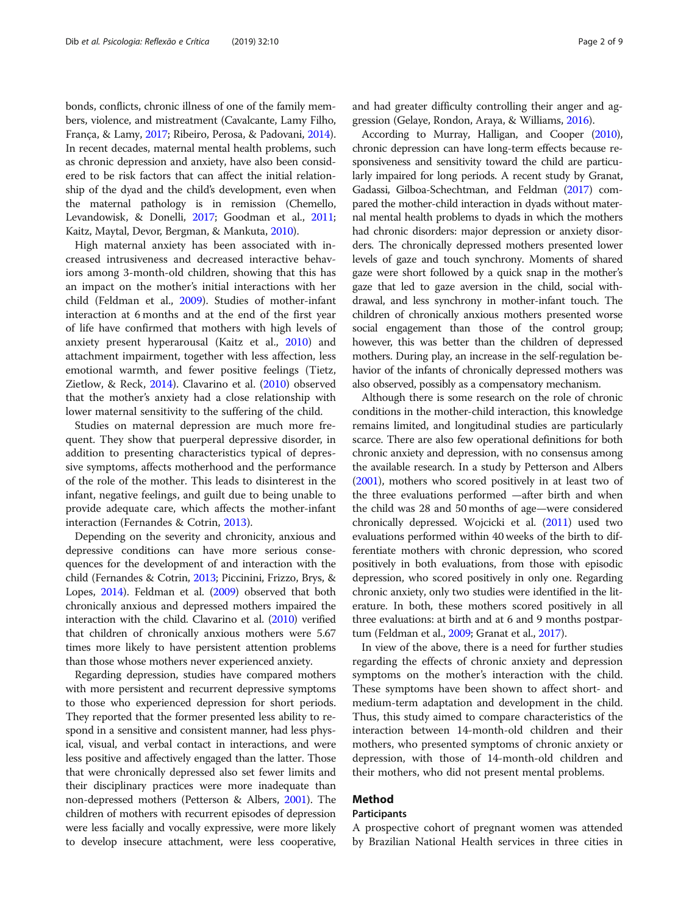bonds, conflicts, chronic illness of one of the family members, violence, and mistreatment (Cavalcante, Lamy Filho, França, & Lamy, [2017;](#page-7-0) Ribeiro, Perosa, & Padovani, [2014](#page-8-0)). In recent decades, maternal mental health problems, such as chronic depression and anxiety, have also been considered to be risk factors that can affect the initial relationship of the dyad and the child's development, even when the maternal pathology is in remission (Chemello, Levandowisk, & Donelli, [2017;](#page-7-0) Goodman et al., [2011](#page-8-0); Kaitz, Maytal, Devor, Bergman, & Mankuta, [2010](#page-8-0)).

High maternal anxiety has been associated with increased intrusiveness and decreased interactive behaviors among 3-month-old children, showing that this has an impact on the mother's initial interactions with her child (Feldman et al., [2009\)](#page-8-0). Studies of mother-infant interaction at 6 months and at the end of the first year of life have confirmed that mothers with high levels of anxiety present hyperarousal (Kaitz et al., [2010](#page-8-0)) and attachment impairment, together with less affection, less emotional warmth, and fewer positive feelings (Tietz, Zietlow, & Reck, [2014](#page-8-0)). Clavarino et al. ([2010](#page-7-0)) observed that the mother's anxiety had a close relationship with lower maternal sensitivity to the suffering of the child.

Studies on maternal depression are much more frequent. They show that puerperal depressive disorder, in addition to presenting characteristics typical of depressive symptoms, affects motherhood and the performance of the role of the mother. This leads to disinterest in the infant, negative feelings, and guilt due to being unable to provide adequate care, which affects the mother-infant interaction (Fernandes & Cotrin, [2013](#page-8-0)).

Depending on the severity and chronicity, anxious and depressive conditions can have more serious consequences for the development of and interaction with the child (Fernandes & Cotrin, [2013;](#page-8-0) Piccinini, Frizzo, Brys, & Lopes, [2014](#page-8-0)). Feldman et al. [\(2009\)](#page-8-0) observed that both chronically anxious and depressed mothers impaired the interaction with the child. Clavarino et al. [\(2010](#page-7-0)) verified that children of chronically anxious mothers were 5.67 times more likely to have persistent attention problems than those whose mothers never experienced anxiety.

Regarding depression, studies have compared mothers with more persistent and recurrent depressive symptoms to those who experienced depression for short periods. They reported that the former presented less ability to respond in a sensitive and consistent manner, had less physical, visual, and verbal contact in interactions, and were less positive and affectively engaged than the latter. Those that were chronically depressed also set fewer limits and their disciplinary practices were more inadequate than non-depressed mothers (Petterson & Albers, [2001](#page-8-0)). The children of mothers with recurrent episodes of depression were less facially and vocally expressive, were more likely to develop insecure attachment, were less cooperative, and had greater difficulty controlling their anger and aggression (Gelaye, Rondon, Araya, & Williams, [2016](#page-8-0)).

According to Murray, Halligan, and Cooper [\(2010](#page-8-0)), chronic depression can have long-term effects because responsiveness and sensitivity toward the child are particularly impaired for long periods. A recent study by Granat, Gadassi, Gilboa-Schechtman, and Feldman [\(2017](#page-8-0)) compared the mother-child interaction in dyads without maternal mental health problems to dyads in which the mothers had chronic disorders: major depression or anxiety disorders. The chronically depressed mothers presented lower levels of gaze and touch synchrony. Moments of shared gaze were short followed by a quick snap in the mother's gaze that led to gaze aversion in the child, social withdrawal, and less synchrony in mother-infant touch. The children of chronically anxious mothers presented worse social engagement than those of the control group; however, this was better than the children of depressed mothers. During play, an increase in the self-regulation behavior of the infants of chronically depressed mothers was also observed, possibly as a compensatory mechanism.

Although there is some research on the role of chronic conditions in the mother-child interaction, this knowledge remains limited, and longitudinal studies are particularly scarce. There are also few operational definitions for both chronic anxiety and depression, with no consensus among the available research. In a study by Petterson and Albers ([2001](#page-8-0)), mothers who scored positively in at least two of the three evaluations performed —after birth and when the child was 28 and 50 months of age—were considered chronically depressed. Wojcicki et al. [\(2011](#page-8-0)) used two evaluations performed within 40 weeks of the birth to differentiate mothers with chronic depression, who scored positively in both evaluations, from those with episodic depression, who scored positively in only one. Regarding chronic anxiety, only two studies were identified in the literature. In both, these mothers scored positively in all three evaluations: at birth and at 6 and 9 months postpartum (Feldman et al., [2009;](#page-8-0) Granat et al., [2017\)](#page-8-0).

In view of the above, there is a need for further studies regarding the effects of chronic anxiety and depression symptoms on the mother's interaction with the child. These symptoms have been shown to affect short- and medium-term adaptation and development in the child. Thus, this study aimed to compare characteristics of the interaction between 14-month-old children and their mothers, who presented symptoms of chronic anxiety or depression, with those of 14-month-old children and their mothers, who did not present mental problems.

# Method

# Participants

A prospective cohort of pregnant women was attended by Brazilian National Health services in three cities in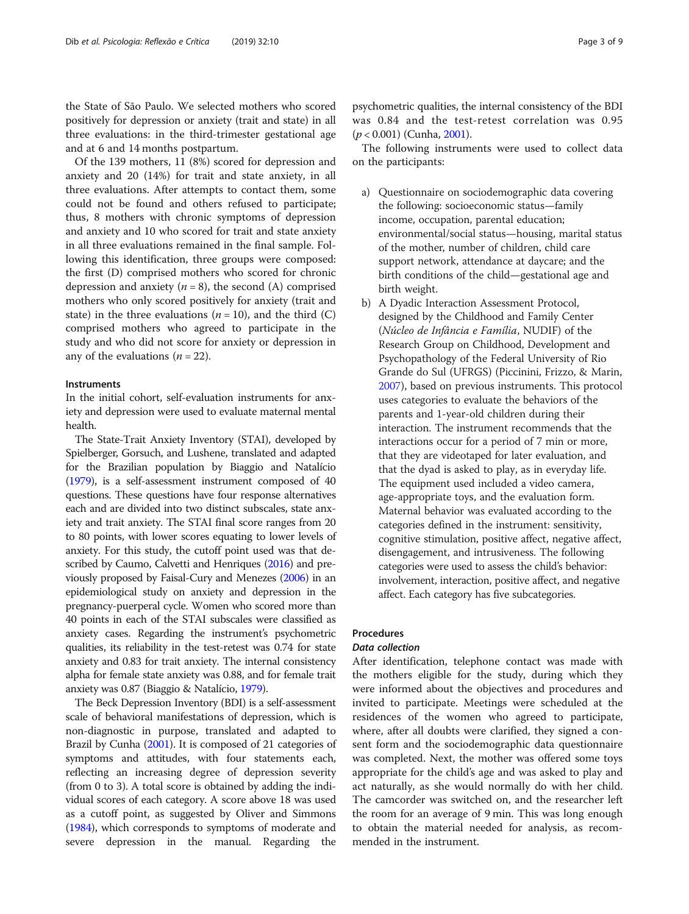the State of São Paulo. We selected mothers who scored positively for depression or anxiety (trait and state) in all three evaluations: in the third-trimester gestational age and at 6 and 14 months postpartum.

Of the 139 mothers, 11 (8%) scored for depression and anxiety and 20 (14%) for trait and state anxiety, in all three evaluations. After attempts to contact them, some could not be found and others refused to participate; thus, 8 mothers with chronic symptoms of depression and anxiety and 10 who scored for trait and state anxiety in all three evaluations remained in the final sample. Following this identification, three groups were composed: the first (D) comprised mothers who scored for chronic depression and anxiety ( $n = 8$ ), the second (A) comprised mothers who only scored positively for anxiety (trait and state) in the three evaluations ( $n = 10$ ), and the third (C) comprised mothers who agreed to participate in the study and who did not score for anxiety or depression in any of the evaluations  $(n = 22)$ .

# Instruments

In the initial cohort, self-evaluation instruments for anxiety and depression were used to evaluate maternal mental health.

The State-Trait Anxiety Inventory (STAI), developed by Spielberger, Gorsuch, and Lushene, translated and adapted for the Brazilian population by Biaggio and Natalício ([1979\)](#page-7-0), is a self-assessment instrument composed of 40 questions. These questions have four response alternatives each and are divided into two distinct subscales, state anxiety and trait anxiety. The STAI final score ranges from 20 to 80 points, with lower scores equating to lower levels of anxiety. For this study, the cutoff point used was that de-scribed by Caumo, Calvetti and Henriques ([2016\)](#page-7-0) and previously proposed by Faisal-Cury and Menezes [\(2006](#page-7-0)) in an epidemiological study on anxiety and depression in the pregnancy-puerperal cycle. Women who scored more than 40 points in each of the STAI subscales were classified as anxiety cases. Regarding the instrument's psychometric qualities, its reliability in the test-retest was 0.74 for state anxiety and 0.83 for trait anxiety. The internal consistency alpha for female state anxiety was 0.88, and for female trait anxiety was 0.87 (Biaggio & Natalício, [1979\)](#page-7-0).

The Beck Depression Inventory (BDI) is a self-assessment scale of behavioral manifestations of depression, which is non-diagnostic in purpose, translated and adapted to Brazil by Cunha [\(2001\)](#page-7-0). It is composed of 21 categories of symptoms and attitudes, with four statements each, reflecting an increasing degree of depression severity (from 0 to 3). A total score is obtained by adding the individual scores of each category. A score above 18 was used as a cutoff point, as suggested by Oliver and Simmons ([1984](#page-8-0)), which corresponds to symptoms of moderate and severe depression in the manual. Regarding the psychometric qualities, the internal consistency of the BDI was 0.84 and the test-retest correlation was 0.95  $(p < 0.001)$  (Cunha, [2001\)](#page-7-0).

The following instruments were used to collect data on the participants:

- a) Questionnaire on sociodemographic data covering the following: socioeconomic status—family income, occupation, parental education; environmental/social status—housing, marital status of the mother, number of children, child care support network, attendance at daycare; and the birth conditions of the child—gestational age and birth weight.
- b) A Dyadic Interaction Assessment Protocol, designed by the Childhood and Family Center (Núcleo de Infância e Família, NUDIF) of the Research Group on Childhood, Development and Psychopathology of the Federal University of Rio Grande do Sul (UFRGS) (Piccinini, Frizzo, & Marin, [2007\)](#page-8-0), based on previous instruments. This protocol uses categories to evaluate the behaviors of the parents and 1-year-old children during their interaction. The instrument recommends that the interactions occur for a period of 7 min or more, that they are videotaped for later evaluation, and that the dyad is asked to play, as in everyday life. The equipment used included a video camera, age-appropriate toys, and the evaluation form. Maternal behavior was evaluated according to the categories defined in the instrument: sensitivity, cognitive stimulation, positive affect, negative affect, disengagement, and intrusiveness. The following categories were used to assess the child's behavior: involvement, interaction, positive affect, and negative affect. Each category has five subcategories.

# Procedures

### Data collection

After identification, telephone contact was made with the mothers eligible for the study, during which they were informed about the objectives and procedures and invited to participate. Meetings were scheduled at the residences of the women who agreed to participate, where, after all doubts were clarified, they signed a consent form and the sociodemographic data questionnaire was completed. Next, the mother was offered some toys appropriate for the child's age and was asked to play and act naturally, as she would normally do with her child. The camcorder was switched on, and the researcher left the room for an average of 9 min. This was long enough to obtain the material needed for analysis, as recommended in the instrument.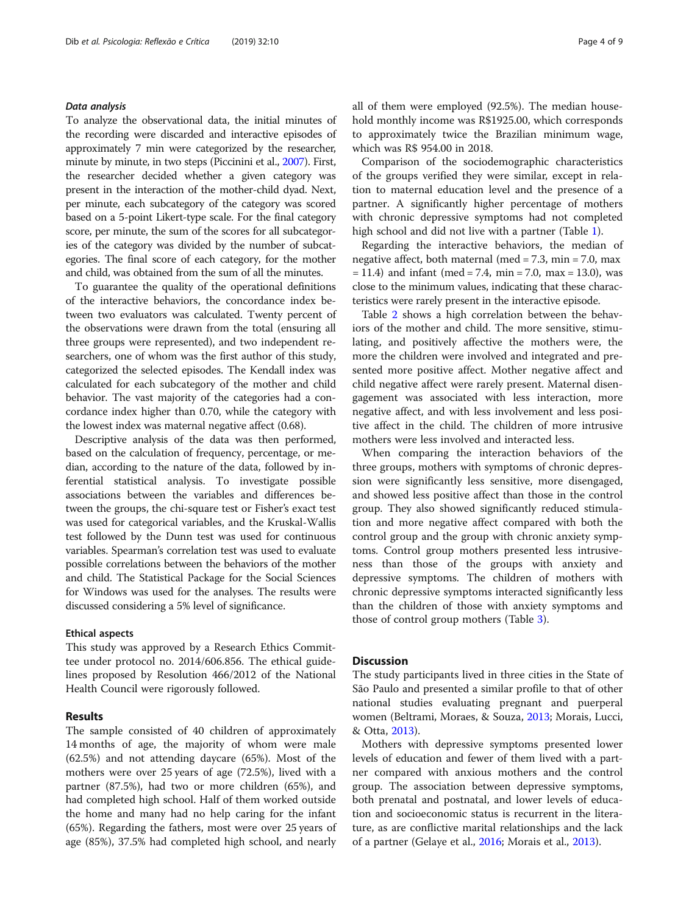# Data analysis

To analyze the observational data, the initial minutes of the recording were discarded and interactive episodes of approximately 7 min were categorized by the researcher, minute by minute, in two steps (Piccinini et al., [2007](#page-8-0)). First, the researcher decided whether a given category was present in the interaction of the mother-child dyad. Next, per minute, each subcategory of the category was scored based on a 5-point Likert-type scale. For the final category score, per minute, the sum of the scores for all subcategories of the category was divided by the number of subcategories. The final score of each category, for the mother and child, was obtained from the sum of all the minutes.

To guarantee the quality of the operational definitions of the interactive behaviors, the concordance index between two evaluators was calculated. Twenty percent of the observations were drawn from the total (ensuring all three groups were represented), and two independent researchers, one of whom was the first author of this study, categorized the selected episodes. The Kendall index was calculated for each subcategory of the mother and child behavior. The vast majority of the categories had a concordance index higher than 0.70, while the category with the lowest index was maternal negative affect (0.68).

Descriptive analysis of the data was then performed, based on the calculation of frequency, percentage, or median, according to the nature of the data, followed by inferential statistical analysis. To investigate possible associations between the variables and differences between the groups, the chi-square test or Fisher's exact test was used for categorical variables, and the Kruskal-Wallis test followed by the Dunn test was used for continuous variables. Spearman's correlation test was used to evaluate possible correlations between the behaviors of the mother and child. The Statistical Package for the Social Sciences for Windows was used for the analyses. The results were discussed considering a 5% level of significance.

# Ethical aspects

This study was approved by a Research Ethics Committee under protocol no. 2014/606.856. The ethical guidelines proposed by Resolution 466/2012 of the National Health Council were rigorously followed.

# Results

The sample consisted of 40 children of approximately 14 months of age, the majority of whom were male (62.5%) and not attending daycare (65%). Most of the mothers were over 25 years of age (72.5%), lived with a partner (87.5%), had two or more children (65%), and had completed high school. Half of them worked outside the home and many had no help caring for the infant (65%). Regarding the fathers, most were over 25 years of age (85%), 37.5% had completed high school, and nearly

all of them were employed (92.5%). The median household monthly income was R\$1925.00, which corresponds to approximately twice the Brazilian minimum wage, which was R\$ 954.00 in 2018.

Comparison of the sociodemographic characteristics of the groups verified they were similar, except in relation to maternal education level and the presence of a partner. A significantly higher percentage of mothers with chronic depressive symptoms had not completed high school and did not live with a partner (Table [1\)](#page-4-0).

Regarding the interactive behaviors, the median of negative affect, both maternal (med = 7.3, min = 7.0, max  $= 11.4$ ) and infant (med  $= 7.4$ , min  $= 7.0$ , max  $= 13.0$ ), was close to the minimum values, indicating that these characteristics were rarely present in the interactive episode.

Table [2](#page-4-0) shows a high correlation between the behaviors of the mother and child. The more sensitive, stimulating, and positively affective the mothers were, the more the children were involved and integrated and presented more positive affect. Mother negative affect and child negative affect were rarely present. Maternal disengagement was associated with less interaction, more negative affect, and with less involvement and less positive affect in the child. The children of more intrusive mothers were less involved and interacted less.

When comparing the interaction behaviors of the three groups, mothers with symptoms of chronic depression were significantly less sensitive, more disengaged, and showed less positive affect than those in the control group. They also showed significantly reduced stimulation and more negative affect compared with both the control group and the group with chronic anxiety symptoms. Control group mothers presented less intrusiveness than those of the groups with anxiety and depressive symptoms. The children of mothers with chronic depressive symptoms interacted significantly less than the children of those with anxiety symptoms and those of control group mothers (Table [3\)](#page-5-0).

# **Discussion**

The study participants lived in three cities in the State of São Paulo and presented a similar profile to that of other national studies evaluating pregnant and puerperal women (Beltrami, Moraes, & Souza, [2013](#page-7-0); Morais, Lucci, & Otta, [2013](#page-8-0)).

Mothers with depressive symptoms presented lower levels of education and fewer of them lived with a partner compared with anxious mothers and the control group. The association between depressive symptoms, both prenatal and postnatal, and lower levels of education and socioeconomic status is recurrent in the literature, as are conflictive marital relationships and the lack of a partner (Gelaye et al., [2016;](#page-8-0) Morais et al., [2013\)](#page-8-0).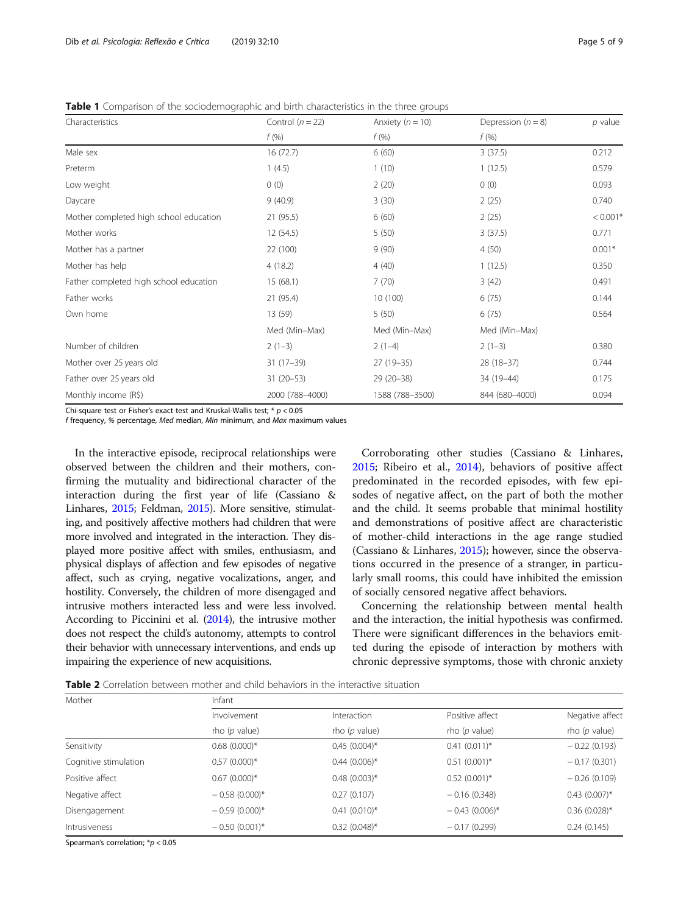<span id="page-4-0"></span>**Table 1** Comparison of the sociodemographic and birth characteristics in the three groups

| Characteristics                        | Control $(n = 22)$ | Anxiety ( $n = 10$ ) | Depression $(n = 8)$ | $p$ value  |
|----------------------------------------|--------------------|----------------------|----------------------|------------|
|                                        | f(%)               | f(%)                 | f(%)                 |            |
| Male sex                               | 16(72.7)           | 6(60)                | 3(37.5)              | 0.212      |
| Preterm                                | 1(4.5)             | 1(10)                | 1(12.5)              | 0.579      |
| Low weight                             | 0(0)               | 2(20)                | 0(0)                 | 0.093      |
| Daycare                                | 9(40.9)            | 3(30)                | 2(25)                | 0.740      |
| Mother completed high school education | 21 (95.5)          | 6(60)                | 2(25)                | $< 0.001*$ |
| Mother works                           | 12 (54.5)          | 5(50)                | 3(37.5)              | 0.771      |
| Mother has a partner                   | 22 (100)           | 9(90)                | 4(50)                | $0.001*$   |
| Mother has help                        | 4(18.2)            | 4(40)                | 1(12.5)              | 0.350      |
| Father completed high school education | 15(68.1)           | 7(70)                | 3(42)                | 0.491      |
| Father works                           | 21 (95.4)          | 10 (100)             | 6(75)                | 0.144      |
| Own home                               | 13 (59)            | 5(50)                | 6(75)                | 0.564      |
|                                        | Med (Min-Max)      | Med (Min-Max)        | Med (Min-Max)        |            |
| Number of children                     | $2(1-3)$           | $2(1-4)$             | $2(1-3)$             | 0.380      |
| Mother over 25 years old               | $31(17-39)$        | $27(19-35)$          | $28(18-37)$          | 0.744      |
| Father over 25 years old               | $31(20-53)$        | $29(20-38)$          | 34 (19-44)           | 0.175      |
| Monthly income (R\$)                   | 2000 (788-4000)    | 1588 (788-3500)      | 844 (680-4000)       | 0.094      |

Chi-square test or Fisher's exact test and Kruskal-Wallis test;  $* p < 0.05$ 

f frequency, % percentage, Med median, Min minimum, and Max maximum values

In the interactive episode, reciprocal relationships were observed between the children and their mothers, confirming the mutuality and bidirectional character of the interaction during the first year of life (Cassiano & Linhares, [2015;](#page-7-0) Feldman, [2015](#page-7-0)). More sensitive, stimulating, and positively affective mothers had children that were more involved and integrated in the interaction. They displayed more positive affect with smiles, enthusiasm, and physical displays of affection and few episodes of negative affect, such as crying, negative vocalizations, anger, and hostility. Conversely, the children of more disengaged and intrusive mothers interacted less and were less involved. According to Piccinini et al. ([2014\)](#page-8-0), the intrusive mother does not respect the child's autonomy, attempts to control their behavior with unnecessary interventions, and ends up impairing the experience of new acquisitions.

Corroborating other studies (Cassiano & Linhares, [2015](#page-7-0); Ribeiro et al., [2014\)](#page-8-0), behaviors of positive affect predominated in the recorded episodes, with few episodes of negative affect, on the part of both the mother and the child. It seems probable that minimal hostility and demonstrations of positive affect are characteristic of mother-child interactions in the age range studied (Cassiano & Linhares, [2015](#page-7-0)); however, since the observations occurred in the presence of a stranger, in particularly small rooms, this could have inhibited the emission of socially censored negative affect behaviors.

Concerning the relationship between mental health and the interaction, the initial hypothesis was confirmed. There were significant differences in the behaviors emitted during the episode of interaction by mothers with chronic depressive symptoms, those with chronic anxiety

**Table 2** Correlation between mother and child behaviors in the interactive situation

| Mother                | Infant             |                  |                  |                  |  |  |  |
|-----------------------|--------------------|------------------|------------------|------------------|--|--|--|
|                       | Involvement        | Interaction      | Positive affect  | Negative affect  |  |  |  |
|                       | rho ( $p$ value)   | rho ( $p$ value) | rho ( $p$ value) | rho ( $p$ value) |  |  |  |
| Sensitivity           | $0.68(0.000)*$     | $0.45(0.004)$ *  | $0.41(0.011)^*$  | $-0.22(0.193)$   |  |  |  |
| Cognitive stimulation | $0.57(0.000)*$     | $0.44(0.006)*$   | $0.51(0.001)$ *  | $-0.17(0.301)$   |  |  |  |
| Positive affect       | $0.67(0.000)*$     | $0.48(0.003)*$   | $0.52(0.001)*$   | $-0.26(0.109)$   |  |  |  |
| Negative affect       | $-0.58(0.000)*$    | 0.27(0.107)      | $-0.16(0.348)$   | $0.43$ (0.007)*  |  |  |  |
| Disengagement         | $-0.59(0.000)*$    | $0.41(0.010)*$   | $-0.43(0.006)$ * | $0.36(0.028)$ *  |  |  |  |
| Intrusiveness         | $-0.50(0.001)^{*}$ | $0.32(0.048)$ *  | $-0.17(0.299)$   | 0.24(0.145)      |  |  |  |

Spearman's correlation; \*p < 0.05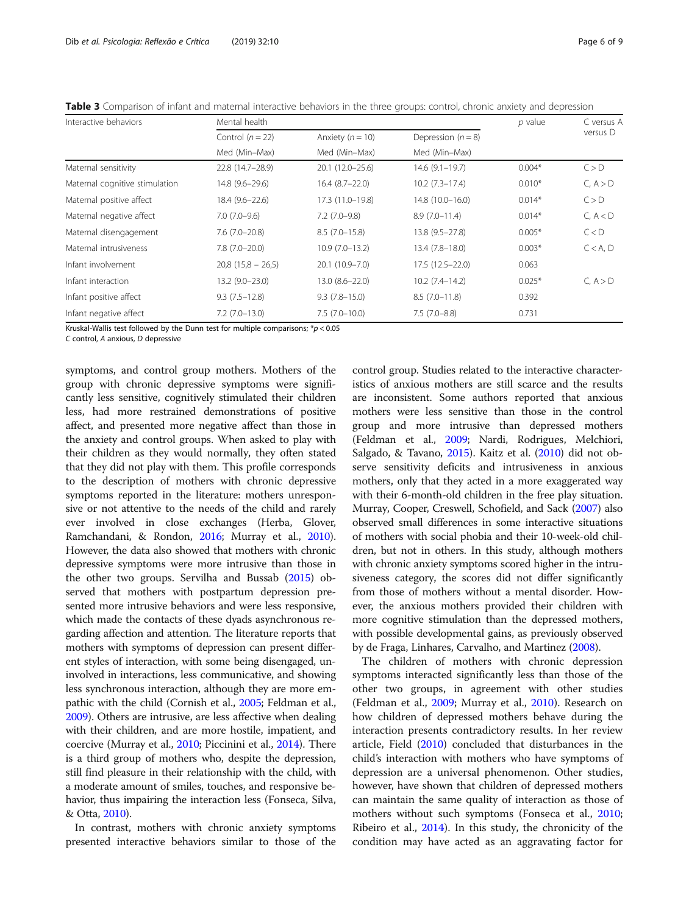| Interactive behaviors          | Mental health       | $p$ value            | C versus A           |          |             |
|--------------------------------|---------------------|----------------------|----------------------|----------|-------------|
|                                | Control $(n = 22)$  | Anxiety ( $n = 10$ ) | Depression $(n = 8)$ |          | versus D    |
|                                | Med (Min-Max)       | Med (Min-Max)        | Med (Min-Max)        |          |             |
| Maternal sensitivity           | 22.8 (14.7-28.9)    | 20.1 (12.0-25.6)     | $14.6(9.1-19.7)$     | $0.004*$ | C > D       |
| Maternal cognitive stimulation | 14.8 (9.6-29.6)     | $16.4(8.7-22.0)$     | $10.2(7.3 - 17.4)$   | $0.010*$ | C, A > D    |
| Maternal positive affect       | 18.4 (9.6-22.6)     | 17.3 (11.0-19.8)     | $14.8(10.0 - 16.0)$  | $0.014*$ | C > D       |
| Maternal negative affect       | $7.0(7.0-9.6)$      | $7.2(7.0-9.8)$       | $8.9(7.0-11.4)$      | $0.014*$ | C, A < D    |
| Maternal disengagement         | $7.6(7.0-20.8)$     | $8.5(7.0-15.8)$      | $13.8(9.5 - 27.8)$   | $0.005*$ | C < D       |
| Maternal intrusiveness         | $7.8(7.0-20.0)$     | $10.9(7.0-13.2)$     | $13.4(7.8-18.0)$     | $0.003*$ | $C < A$ , D |
| Infant involvement             | $20,8(15,8 - 26,5)$ | 20.1 (10.9-7.0)      | $17.5(12.5 - 22.0)$  | 0.063    |             |
| Infant interaction             | 13.2 (9.0-23.0)     | $13.0(8.6 - 22.0)$   | $10.2(7.4 - 14.2)$   | $0.025*$ | C, A > D    |
| Infant positive affect         | $9.3(7.5-12.8)$     | $9.3(7.8 - 15.0)$    | $8.5(7.0-11.8)$      | 0.392    |             |
| Infant negative affect         | $7.2(7.0-13.0)$     | $7.5(7.0-10.0)$      | $7.5(7.0-8.8)$       | 0.731    |             |
|                                |                     |                      |                      |          |             |

<span id="page-5-0"></span>Table 3 Comparison of infant and maternal interactive behaviors in the three groups: control, chronic anxiety and depression

Kruskal-Wallis test followed by the Dunn test for multiple comparisons;  $p < 0.05$ 

C control, A anxious, D depressive

symptoms, and control group mothers. Mothers of the group with chronic depressive symptoms were significantly less sensitive, cognitively stimulated their children less, had more restrained demonstrations of positive affect, and presented more negative affect than those in the anxiety and control groups. When asked to play with their children as they would normally, they often stated that they did not play with them. This profile corresponds to the description of mothers with chronic depressive symptoms reported in the literature: mothers unresponsive or not attentive to the needs of the child and rarely ever involved in close exchanges (Herba, Glover, Ramchandani, & Rondon, [2016;](#page-8-0) Murray et al., [2010](#page-8-0)). However, the data also showed that mothers with chronic depressive symptoms were more intrusive than those in the other two groups. Servilha and Bussab [\(2015\)](#page-8-0) observed that mothers with postpartum depression presented more intrusive behaviors and were less responsive, which made the contacts of these dyads asynchronous regarding affection and attention. The literature reports that mothers with symptoms of depression can present different styles of interaction, with some being disengaged, uninvolved in interactions, less communicative, and showing less synchronous interaction, although they are more empathic with the child (Cornish et al., [2005;](#page-7-0) Feldman et al., [2009\)](#page-8-0). Others are intrusive, are less affective when dealing with their children, and are more hostile, impatient, and coercive (Murray et al., [2010](#page-8-0); Piccinini et al., [2014\)](#page-8-0). There is a third group of mothers who, despite the depression, still find pleasure in their relationship with the child, with a moderate amount of smiles, touches, and responsive behavior, thus impairing the interaction less (Fonseca, Silva, & Otta, [2010\)](#page-8-0).

In contrast, mothers with chronic anxiety symptoms presented interactive behaviors similar to those of the

control group. Studies related to the interactive characteristics of anxious mothers are still scarce and the results are inconsistent. Some authors reported that anxious mothers were less sensitive than those in the control group and more intrusive than depressed mothers (Feldman et al., [2009](#page-8-0); Nardi, Rodrigues, Melchiori, Salgado, & Tavano, [2015\)](#page-8-0). Kaitz et al. [\(2010\)](#page-8-0) did not observe sensitivity deficits and intrusiveness in anxious mothers, only that they acted in a more exaggerated way with their 6-month-old children in the free play situation. Murray, Cooper, Creswell, Schofield, and Sack ([2007\)](#page-8-0) also observed small differences in some interactive situations of mothers with social phobia and their 10-week-old children, but not in others. In this study, although mothers with chronic anxiety symptoms scored higher in the intrusiveness category, the scores did not differ significantly from those of mothers without a mental disorder. However, the anxious mothers provided their children with more cognitive stimulation than the depressed mothers, with possible developmental gains, as previously observed by de Fraga, Linhares, Carvalho, and Martinez [\(2008](#page-7-0)).

The children of mothers with chronic depression symptoms interacted significantly less than those of the other two groups, in agreement with other studies (Feldman et al., [2009;](#page-8-0) Murray et al., [2010\)](#page-8-0). Research on how children of depressed mothers behave during the interaction presents contradictory results. In her review article, Field ([2010](#page-8-0)) concluded that disturbances in the child's interaction with mothers who have symptoms of depression are a universal phenomenon. Other studies, however, have shown that children of depressed mothers can maintain the same quality of interaction as those of mothers without such symptoms (Fonseca et al., [2010](#page-8-0); Ribeiro et al., [2014](#page-8-0)). In this study, the chronicity of the condition may have acted as an aggravating factor for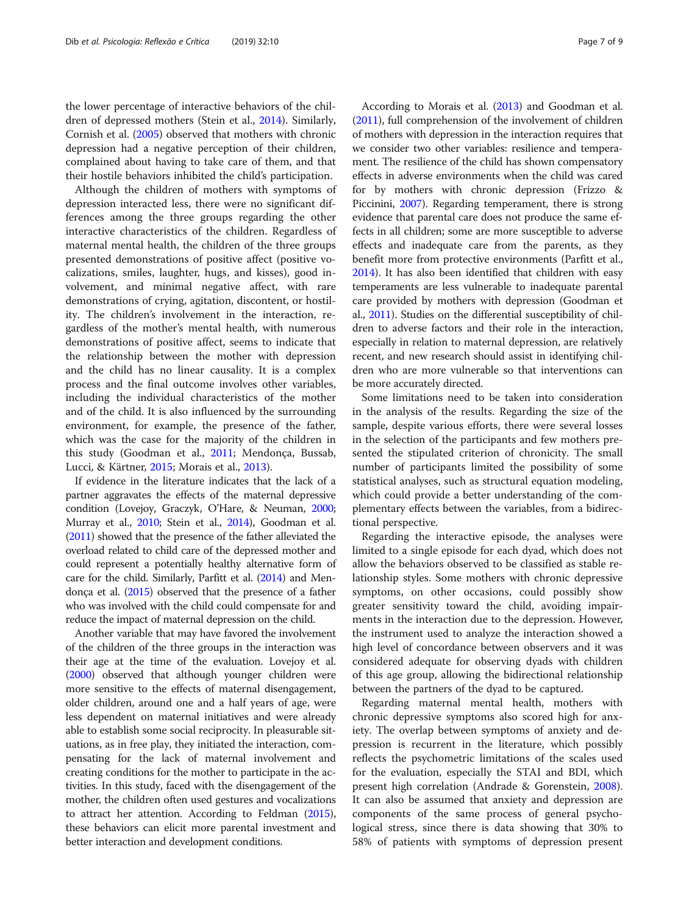the lower percentage of interactive behaviors of the children of depressed mothers (Stein et al., [2014\)](#page-8-0). Similarly, Cornish et al. ([2005\)](#page-7-0) observed that mothers with chronic depression had a negative perception of their children, complained about having to take care of them, and that their hostile behaviors inhibited the child's participation.

Although the children of mothers with symptoms of depression interacted less, there were no significant differences among the three groups regarding the other interactive characteristics of the children. Regardless of maternal mental health, the children of the three groups presented demonstrations of positive affect (positive vocalizations, smiles, laughter, hugs, and kisses), good involvement, and minimal negative affect, with rare demonstrations of crying, agitation, discontent, or hostility. The children's involvement in the interaction, regardless of the mother's mental health, with numerous demonstrations of positive affect, seems to indicate that the relationship between the mother with depression and the child has no linear causality. It is a complex process and the final outcome involves other variables, including the individual characteristics of the mother and of the child. It is also influenced by the surrounding environment, for example, the presence of the father, which was the case for the majority of the children in this study (Goodman et al., [2011;](#page-8-0) Mendonça, Bussab, Lucci, & Kärtner, [2015](#page-8-0); Morais et al., [2013](#page-8-0)).

If evidence in the literature indicates that the lack of a partner aggravates the effects of the maternal depressive condition (Lovejoy, Graczyk, O'Hare, & Neuman, [2000](#page-8-0); Murray et al., [2010;](#page-8-0) Stein et al., [2014](#page-8-0)), Goodman et al. ([2011\)](#page-8-0) showed that the presence of the father alleviated the overload related to child care of the depressed mother and could represent a potentially healthy alternative form of care for the child. Similarly, Parfitt et al. [\(2014](#page-8-0)) and Mendonça et al. [\(2015](#page-8-0)) observed that the presence of a father who was involved with the child could compensate for and reduce the impact of maternal depression on the child.

Another variable that may have favored the involvement of the children of the three groups in the interaction was their age at the time of the evaluation. Lovejoy et al. ([2000](#page-8-0)) observed that although younger children were more sensitive to the effects of maternal disengagement, older children, around one and a half years of age, were less dependent on maternal initiatives and were already able to establish some social reciprocity. In pleasurable situations, as in free play, they initiated the interaction, compensating for the lack of maternal involvement and creating conditions for the mother to participate in the activities. In this study, faced with the disengagement of the mother, the children often used gestures and vocalizations to attract her attention. According to Feldman [\(2015](#page-7-0)), these behaviors can elicit more parental investment and better interaction and development conditions.

According to Morais et al. [\(2013\)](#page-8-0) and Goodman et al. ([2011](#page-8-0)), full comprehension of the involvement of children of mothers with depression in the interaction requires that we consider two other variables: resilience and temperament. The resilience of the child has shown compensatory effects in adverse environments when the child was cared for by mothers with chronic depression (Frizzo & Piccinini, [2007\)](#page-8-0). Regarding temperament, there is strong evidence that parental care does not produce the same effects in all children; some are more susceptible to adverse effects and inadequate care from the parents, as they benefit more from protective environments (Parfitt et al., [2014](#page-8-0)). It has also been identified that children with easy temperaments are less vulnerable to inadequate parental care provided by mothers with depression (Goodman et al., [2011](#page-8-0)). Studies on the differential susceptibility of children to adverse factors and their role in the interaction, especially in relation to maternal depression, are relatively recent, and new research should assist in identifying children who are more vulnerable so that interventions can be more accurately directed.

Some limitations need to be taken into consideration in the analysis of the results. Regarding the size of the sample, despite various efforts, there were several losses in the selection of the participants and few mothers presented the stipulated criterion of chronicity. The small number of participants limited the possibility of some statistical analyses, such as structural equation modeling, which could provide a better understanding of the complementary effects between the variables, from a bidirectional perspective.

Regarding the interactive episode, the analyses were limited to a single episode for each dyad, which does not allow the behaviors observed to be classified as stable relationship styles. Some mothers with chronic depressive symptoms, on other occasions, could possibly show greater sensitivity toward the child, avoiding impairments in the interaction due to the depression. However, the instrument used to analyze the interaction showed a high level of concordance between observers and it was considered adequate for observing dyads with children of this age group, allowing the bidirectional relationship between the partners of the dyad to be captured.

Regarding maternal mental health, mothers with chronic depressive symptoms also scored high for anxiety. The overlap between symptoms of anxiety and depression is recurrent in the literature, which possibly reflects the psychometric limitations of the scales used for the evaluation, especially the STAI and BDI, which present high correlation (Andrade & Gorenstein, [2008](#page-7-0)). It can also be assumed that anxiety and depression are components of the same process of general psychological stress, since there is data showing that 30% to 58% of patients with symptoms of depression present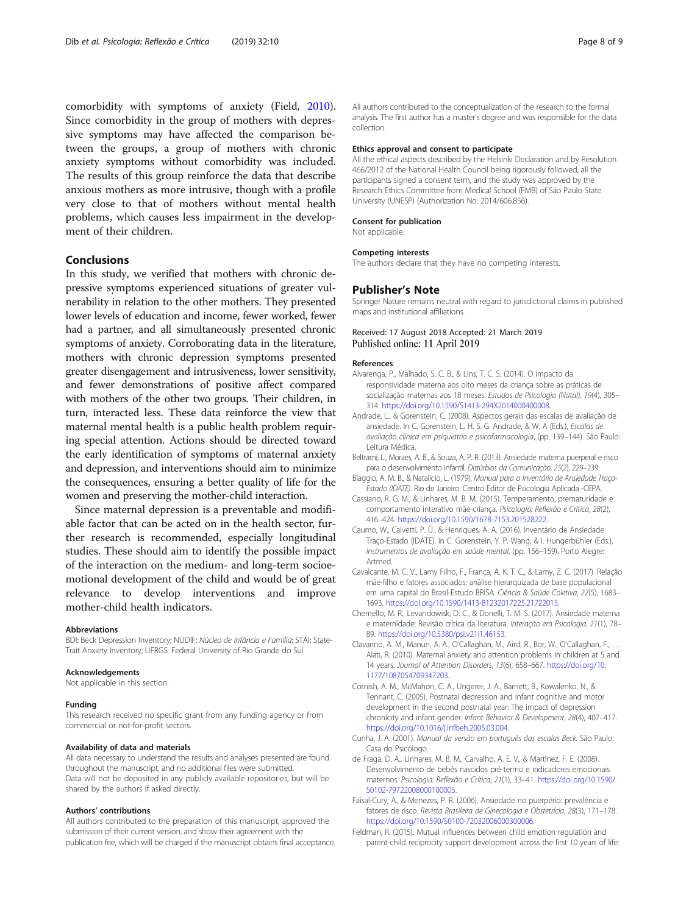<span id="page-7-0"></span>comorbidity with symptoms of anxiety (Field, [2010](#page-8-0)). Since comorbidity in the group of mothers with depressive symptoms may have affected the comparison between the groups, a group of mothers with chronic anxiety symptoms without comorbidity was included. The results of this group reinforce the data that describe anxious mothers as more intrusive, though with a profile very close to that of mothers without mental health problems, which causes less impairment in the development of their children.

# Conclusions

In this study, we verified that mothers with chronic depressive symptoms experienced situations of greater vulnerability in relation to the other mothers. They presented lower levels of education and income, fewer worked, fewer had a partner, and all simultaneously presented chronic symptoms of anxiety. Corroborating data in the literature, mothers with chronic depression symptoms presented greater disengagement and intrusiveness, lower sensitivity, and fewer demonstrations of positive affect compared with mothers of the other two groups. Their children, in turn, interacted less. These data reinforce the view that maternal mental health is a public health problem requiring special attention. Actions should be directed toward the early identification of symptoms of maternal anxiety and depression, and interventions should aim to minimize the consequences, ensuring a better quality of life for the women and preserving the mother-child interaction.

Since maternal depression is a preventable and modifiable factor that can be acted on in the health sector, further research is recommended, especially longitudinal studies. These should aim to identify the possible impact of the interaction on the medium- and long-term socioemotional development of the child and would be of great relevance to develop interventions and improve mother-child health indicators.

#### Abbreviations

BDI: Beck Depression Inventory; NUDIF: Núcleo de Infância e Família; STAI: State-Trait Anxiety Inventory; UFRGS: Federal University of Rio Grande do Sul

#### Acknowledgements

Not applicable in this section.

#### Funding

This research received no specific grant from any funding agency or from commercial or not-for-profit sectors.

## Availability of data and materials

All data necessary to understand the results and analyses presented are found throughout the manuscript, and no additional files were submitted. Data will not be deposited in any publicly available repositories, but will be shared by the authors if asked directly.

### Authors' contributions

All authors contributed to the preparation of this manuscript, approved the submission of their current version, and show their agreement with the publication fee, which will be charged if the manuscript obtains final acceptance.

All authors contributed to the conceptualization of the research to the formal analysis. The first author has a master's degree and was responsible for the data collection.

#### Ethics approval and consent to participate

All the ethical aspects described by the Helsinki Declaration and by Resolution 466/2012 of the National Health Council being rigorously followed, all the participants signed a consent term, and the study was approved by the Research Ethics Committee from Medical School (FMB) of São Paulo State University (UNESP) (Authorization No. 2014/606.856).

#### Consent for publication

Not applicable.

### Competing interests

The authors declare that they have no competing interests.

# Publisher's Note

Springer Nature remains neutral with regard to jurisdictional claims in published maps and institutional affiliations.

# Received: 17 August 2018 Accepted: 21 March 2019 Published online: 11 April 2019

### References

- Alvarenga, P., Malhado, S. C. B., & Lins, T. C. S. (2014). O impacto da responsividade materna aos oito meses da criança sobre as práticas de socialização maternas aos 18 meses. Estudos de Psicologia (Natal), 19(4), 305– 314. [https://doi.org/10.1590/S1413-294X2014000400008.](https://doi.org/10.1590/S1413-294X2014000400008)
- Andrade, L., & Gorenstein, C. (2008). Aspectos gerais das escalas de avaliação de ansiedade. In C. Gorenstein, L. H. S. G. Andrade, & W. A (Eds.), Escalas de avaliação clínica em psiquiatria e psicofarmacologia, (pp. 139–144). São Paulo: Leitura Médica.
- Beltrami, L., Moraes, A. B., & Souza, A. P. R. (2013). Ansiedade materna puerperal e risco para o desenvolvimento infantil. Distúrbios da Comunicação, 25(2), 229–239.
- Biaggio, A. M. B., & Natalício, L. (1979). Manual para o Inventário de Ansiedade Traço-Estado (IDATE). Rio de Janeiro: Centro Editor de Psicologia Aplicada -CEPA.
- Cassiano, R. G. M., & Linhares, M. B. M. (2015). Temperamento, prematuridade e comportamento interativo mãe-criança. Psicologia: Reflexão e Crítica, 28(2), 416–424. [https://doi.org/10.1590/1678-7153.201528222.](https://doi.org/10.1590/1678-7153.201528222)
- Caumo, W., Calvetti, P. Ü., & Henriques, A. A. (2016). Inventário de Ansiedade Traço-Estado (IDATE). In C. Gorenstein, Y. P. Wang, & I. Hungerbühler (Eds.), Instrumentos de avaliação em saúde mental, (pp. 156–159). Porto Alegre: Artmed.
- Cavalcante, M. C. V., Lamy Filho, F., França, A. K. T. C., & Lamy, Z. C. (2017). Relação mãe-filho e fatores associados: análise hierarquizada de base populacional em uma capital do Brasil-Estudo BRISA. Ciência & Saúde Coletiva, 22(5), 1683– 1693. [https://doi.org/10.1590/1413-81232017225.21722015.](https://doi.org/10.1590/1413-81232017225.21722015)
- Chemello, M. R., Levandowisk, D. C., & Donelli, T. M. S. (2017). Ansiedade materna e maternidade: Revisão crítica da literatura. Interação em Psicologia, 21(1), 78– 89. <https://doi.org/10.5380/psi.v21i1.46153>.
- Clavarino, A. M., Manun, A. A., O'Callaghan, M., Aird, R., Bor, W., O'Callaghan, F., … Alati, R. (2010). Maternal anxiety and attention problems in children at 5 and 14 years. Journal of Attention Disorders, 13(6), 658–667. [https://doi.org/10.](https://doi.org/10.1177/1087054709347203) [1177/1087054709347203](https://doi.org/10.1177/1087054709347203).
- Cornish, A. M., McMahon, C. A., Ungerer, J. A., Barnett, B., Kowalenko, N., & Tennant, C. (2005). Postnatal depression and infant cognitive and motor development in the second postnatal year: The impact of depression chronicity and infant gender. Infant Behavior & Development, 28(4), 407–417. <https://doi.org/10.1016/j.infbeh.2005.03.004>.
- Cunha, J. A. (2001). Manual da versão em português das escalas Beck. São Paulo: Casa do Psicólogo.
- de Fraga, D. A., Linhares, M. B. M., Carvalho, A. E. V., & Martinez, F. E. (2008). Desenvolvimento de bebês nascidos pré-termo e indicadores emocionais maternos. Psicologia: Reflexão e Crítica, 21(1), 33–41. [https://doi.org/10.1590/](https://doi.org/10.1590/S0102-79722008000100005) [S0102-79722008000100005.](https://doi.org/10.1590/S0102-79722008000100005)
- Faisal-Cury, A., & Menezes, P. R. (2006). Ansiedade no puerpério: prevalência e fatores de risco. Revista Brasileira de Ginecologia e Obstetrícia, 28(3), 171–178. [https://doi.org/10.1590/S0100-72032006000300006.](https://doi.org/10.1590/S0100-72032006000300006)
- Feldman, R. (2015). Mutual influences between child emotion regulation and parent-child reciprocity support development across the first 10 years of life: